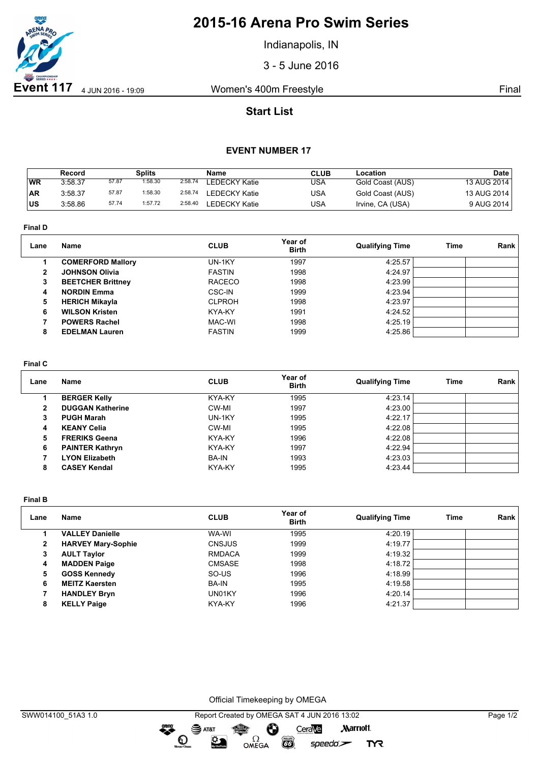

# **2015-16 Arena Pro Swim Series**

Indianapolis, IN

3 - 5 June 2016

## **Start List**

### **EVENT NUMBER 17**

|           | Record  |       | Splits  |         | Name                 | <b>CLUB</b> | Location         | Date        |
|-----------|---------|-------|---------|---------|----------------------|-------------|------------------|-------------|
| WR        | 3:58.37 | 57.87 | 1:58.30 | 2:58.74 | <b>LEDECKY Katie</b> | USA         | Gold Coast (AUS) | 13 AUG 2014 |
| <b>AR</b> | 3:58.37 | 57.87 | 1:58.30 | 2:58.74 | LEDECKY Katie        | USA         | Gold Coast (AUS) | 13 AUG 2014 |
| บร        | 3:58.86 | 57.74 | 1:57.72 | 2:58.40 | LEDECKY Katie        | USA         | Irvine, CA (USA) | 9 AUG 2014  |

**Final D**

| Lane | <b>Name</b>              | <b>CLUB</b>   | Year of<br><b>Birth</b> | <b>Qualifying Time</b> | Time | Rank |
|------|--------------------------|---------------|-------------------------|------------------------|------|------|
|      | <b>COMERFORD Mallory</b> | UN-1KY        | 1997                    | 4:25.57                |      |      |
| 2    | <b>JOHNSON Olivia</b>    | <b>FASTIN</b> | 1998                    | 4:24.97                |      |      |
| 3    | <b>BEETCHER Brittney</b> | <b>RACECO</b> | 1998                    | 4:23.99                |      |      |
| 4    | <b>NORDIN Emma</b>       | CSC-IN        | 1999                    | 4:23.94                |      |      |
| 5    | <b>HERICH Mikayla</b>    | <b>CLPROH</b> | 1998                    | 4:23.97                |      |      |
| 6    | <b>WILSON Kristen</b>    | KYA-KY        | 1991                    | 4:24.52                |      |      |
|      | <b>POWERS Rachel</b>     | MAC-WI        | 1998                    | 4:25.19                |      |      |
| 8    | <b>EDELMAN Lauren</b>    | <b>FASTIN</b> | 1999                    | 4:25.86                |      |      |
|      |                          |               |                         |                        |      |      |

#### **Final C**

| Lane         | Name                    | <b>CLUB</b>  | Year of<br><b>Birth</b> | <b>Qualifying Time</b> | Time | Rank |
|--------------|-------------------------|--------------|-------------------------|------------------------|------|------|
|              | <b>BERGER Kelly</b>     | KYA-KY       | 1995                    | 4:23.14                |      |      |
| $\mathbf{2}$ | <b>DUGGAN Katherine</b> | CW-MI        | 1997                    | 4:23.00                |      |      |
| 3            | <b>PUGH Marah</b>       | UN-1KY       | 1995                    | 4:22.17                |      |      |
| 4            | <b>KEANY Celia</b>      | CW-MI        | 1995                    | 4:22.08                |      |      |
| 5            | <b>FRERIKS Geena</b>    | KYA-KY       | 1996                    | 4:22.08                |      |      |
| 6            | <b>PAINTER Kathryn</b>  | KYA-KY       | 1997                    | 4:22.94                |      |      |
|              | <b>LYON Elizabeth</b>   | <b>BA-IN</b> | 1993                    | 4:23.03                |      |      |
| 8            | <b>CASEY Kendal</b>     | KYA-KY       | 1995                    | 4:23.44                |      |      |

**Final B**

| Lane         | <b>Name</b>               | <b>CLUB</b>   | Year of<br><b>Birth</b> | <b>Qualifying Time</b> | Time | Rank |
|--------------|---------------------------|---------------|-------------------------|------------------------|------|------|
|              | <b>VALLEY Danielle</b>    | WA-WI         | 1995                    | 4:20.19                |      |      |
| $\mathbf{2}$ | <b>HARVEY Mary-Sophie</b> | <b>CNSJUS</b> | 1999                    | 4:19.77                |      |      |
| 3            | <b>AULT Taylor</b>        | <b>RMDACA</b> | 1999                    | 4:19.32                |      |      |
| 4            | <b>MADDEN Paige</b>       | <b>CMSASE</b> | 1998                    | 4:18.72                |      |      |
| 5            | <b>GOSS Kennedy</b>       | SO-US         | 1996                    | 4:18.99                |      |      |
| 6            | <b>MEITZ Kaersten</b>     | <b>BA-IN</b>  | 1995                    | 4:19.58                |      |      |
|              | <b>HANDLEY Bryn</b>       | UN01KY        | 1996                    | 4:20.14                |      |      |
| 8            | <b>KELLY Paige</b>        | KYA-KY        | 1996                    | 4:21.37                |      |      |

Official Timekeeping by OMEGA

dreng: